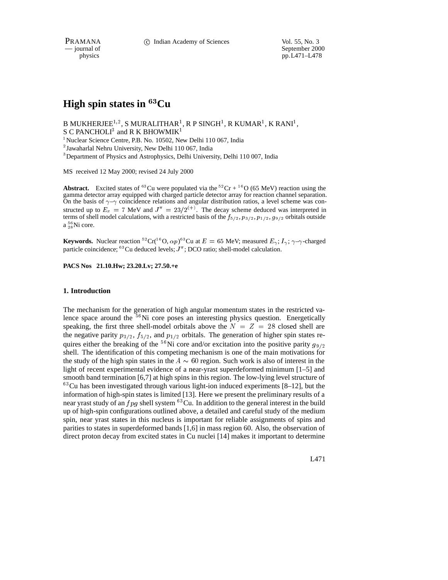physics<br>
a general of September 2000<br>
pp. L471–L478 pp.L471–L478

# **High spin states in** <sup>63</sup>**Cu**

B MUKHERJEE $^{1,2}$ , S MURALITHAR $^{1}$ , R P SINGH $^{1}$ , R KUMAR $^{1}$ , K RANI $^{1}$ , S C PANCHOLI $^3$  and R K BHOWMIK $^1$ 

<sup>1</sup> Nuclear Science Centre, P.B. No. 10502, New Delhi 110 067, India

<sup>2</sup> Jawaharlal Nehru University, New Delhi 110 067, India

<sup>3</sup>Department of Physics and Astrophysics, Delhi University, Delhi 110 007, India

MS received 12 May 2000; revised 24 July 2000

**Abstract.** Excited states of <sup>63</sup>Cu were populated via the <sup>52</sup>Cr + <sup>16</sup>O (65 MeV) reaction using the gamma detector array equipped with charged particle detector array for reaction channel separation. On the basis of  $\gamma-\gamma$  coincidence relations and angular distribution ratios, a level scheme was constructed up to  $E_x = 7$  MeV and  $J^{\pi} = 23/2^{(+)}$ . The decay scheme deduced was interpreted in terms of shell model calculations, with a restricted basis of the  $f_{5/2}$ ,  $p_{3/2}$ ,  $p_{1/2}$ ,  $g_{9/2}$  orbitals outside  $a_{28}^{56}$ Ni core.

**Keywords.** Nuclear reaction <sup>52</sup>Cr(<sup>16</sup>O,  $\alpha p$ )<sup>63</sup>Cu at  $E = 65$  MeV; measured  $E_{\gamma}$ ;  $I_{\gamma}$ ;  $\gamma$ - $\gamma$ -charged particle coincidence;  $^{63}$  Cu deduced levels;  $J^{\pi}$ ; DCO ratio; shell-model calculation.

**PACS Nos 21.10.Hw; 23.20.Lv; 27.50.+e**

# **1. Introduction**

The mechanism for the generation of high angular momentum states in the restricted valence space around the <sup>56</sup>Ni core poses an interesting physics question. Energetically speaking, the first three shell-model orbitals above the  $N = Z = 28$  closed shell are the negative parity  $p_{3/2}$ ,  $f_{5/2}$ , and  $p_{1/2}$  orbitals. The generation of higher spin states requires either the breaking of the <sup>56</sup>Ni core and/or excitation into the positive parity  $g_{9/2}$ shell. The identification of this competing mechanism is one of the main motivations for the study of the high spin states in the  $A \sim 60$  region. Such work is also of interest in the light of recent experimental evidence of a near-yrast superdeformed minimum [1–5] and smooth band termination [6,7] at high spins in this region. The low-lying level structure of  $63$ Cu has been investigated through various light-ion induced experiments [8–12], but the information of high-spin states is limited [13]. Here we present the preliminary results of a near yrast study of an  $fpg$  shell system  $^{63}$ Cu. In addition to the general interest in the build up of high-spin configurations outlined above, a detailed and careful study of the medium spin, near yrast states in this nucleus is important for reliable assignments of spins and parities to states in superdeformed bands [1,6] in mass region 60. Also, the observation of direct proton decay from excited states in Cu nuclei [14] makes it important to determine

L471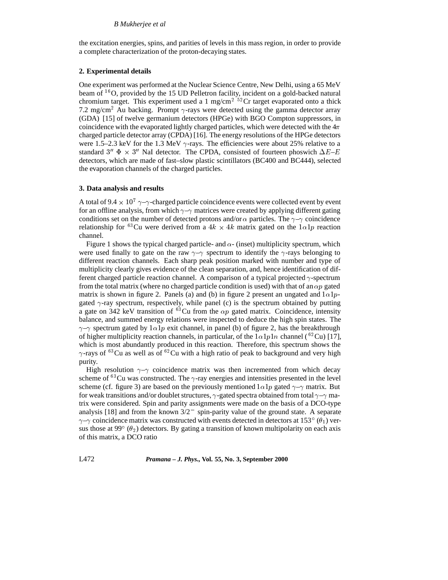the excitation energies, spins, and parities of levels in this mass region, in order to provide a complete characterization of the proton-decaying states.

# **2. Experimental details**

One experiment was performed at the Nuclear Science Centre, New Delhi, using a 65 MeV beam of  $16$ O, provided by the 15 UD Pelletron facility, incident on a gold-backed natural chromium target. This experiment used a 1 mg/cm<sup>2 52</sup>Cr target evaporated onto a thick 7.2 mg/cm<sup>2</sup> Au backing. Prompt  $\gamma$ -rays were detected using the gamma detector array (GDA) [15] of twelve germanium detectors (HPGe) with BGO Compton suppressors, in coincidence with the evaporated lightly charged particles, which were detected with the  $4\pi$ charged particle detector array (CPDA) [16]. The energy resolutions of the HPGe detectors were 1.5–2.3 keV for the 1.3 MeV  $\gamma$ -rays. The efficiencies were about 25% relative to a standard 3"  $\Phi \times 3$ " NaI detector. The CPDA, consisted of fourteen phoswich  $\Delta E-E$ detectors, which are made of fast–slow plastic scintillators (BC400 and BC444), selected the evaporation channels of the charged particles.

# **3. Data analysis and results**

A total of 9.4  $\times$  10<sup>7</sup>  $\gamma$ - $\gamma$ -charged particle coincidence events were collected event by event for an offline analysis, from which  $\gamma$ - $\gamma$  matrices were created by applying different gating conditions set on the number of detected protons and/or  $\alpha$  particles. The  $\gamma$ - $\gamma$  coincidence relationship for <sup>63</sup>Cu were derived from a  $4k \times 4k$  matrix gated on the  $1\alpha1p$  reaction channel.

Figure 1 shows the typical charged particle- and  $\alpha$ - (inset) multiplicity spectrum, which were used finally to gate on the raw  $\gamma$ - $\gamma$  spectrum to identify the  $\gamma$ -rays belonging to different reaction channels. Each sharp peak position marked with number and type of multiplicity clearly gives evidence of the clean separation, and, hence identification of different charged particle reaction channel. A comparison of a typical projected  $\gamma$ -spectrum from the total matrix (where no charged particle condition is used) with that of an  $\alpha p$  gated matrix is shown in figure 2. Panels (a) and (b) in figure 2 present an ungated and  $1\alpha1p$ gated  $\gamma$ -ray spectrum, respectively, while panel (c) is the spectrum obtained by putting a gate on 342 keV transition of  ${}^{63}$ Cu from the  $\alpha p$  gated matrix. Coincidence, intensity balance, and summed energy relations were inspected to deduce the high spin states. The  $\gamma$ - $\gamma$  spectrum gated by  $1\alpha1p$  exit channel, in panel (b) of figure 2, has the breakthrough of higher multiplicity reaction channels, in particular, of the  $1\alpha1p1n$  channel (<sup>62</sup>Cu) [17], which is most abundantly produced in this reaction. Therefore, this spectrum shows the  $\gamma$ -rays of <sup>63</sup>Cu as well as of <sup>62</sup>Cu with a high ratio of peak to background and very high purity.

High resolution  $\gamma$ - $\gamma$  coincidence matrix was then incremented from which decay scheme of  ${}^{63}$ Cu was constructed. The  $\gamma$ -ray energies and intensities presented in the level scheme (cf. figure 3) are based on the previously mentioned  $1\alpha 1p$  gated  $\gamma$ - $\gamma$  matrix. But for weak transitions and/or doublet structures,  $\gamma$ -gated spectra obtained from total  $\gamma$ - $\gamma$  matrix were considered. Spin and parity assignments were made on the basis of a DCO-type analysis [18] and from the known  $3/2^-$  spin-parity value of the ground state. A separate  $\gamma$ - $\gamma$  coincidence matrix was constructed with events detected in detectors at 153 $^{\circ}$  ( $\theta_1$ ) versus those at 99 $^{\circ}$  ( $\theta_2$ ) detectors. By gating a transition of known multipolarity on each axis of this matrix, a DCO ratio

L472 *Pramana – J. Phys.,* **Vol. 55, No. 3, September 2000**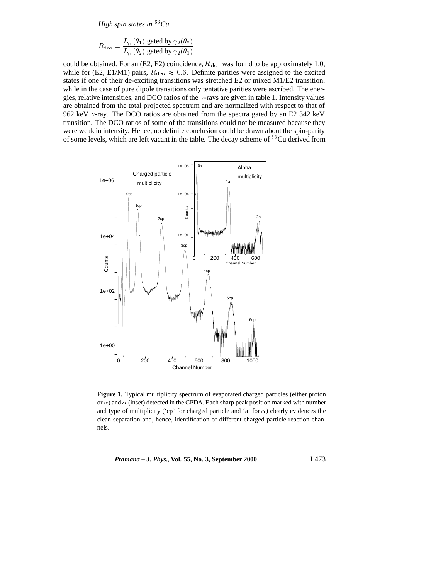*High spin states in* <sup>63</sup>*Cu*

$$
R_{\text{dco}} = \frac{I_{\gamma_1}(\theta_1) \text{ gated by } \gamma_2(\theta_2)}{I_{\gamma_1}(\theta_2) \text{ gated by } \gamma_2(\theta_1)}
$$

could be obtained. For an (E2, E2) coincidence,  $R_{\text{dco}}$  was found to be approximately 1.0, while for (E2, E1/M1) pairs,  $R_{\text{dco}} \approx 0.6$ . Definite parities were assigned to the excited states if one of their de-exciting transitions was stretched E2 or mixed M1/E2 transition, while in the case of pure dipole transitions only tentative parities were ascribed. The energies, relative intensities, and DCO ratios of the  $\gamma$ -rays are given in table 1. Intensity values are obtained from the total projected spectrum and are normalized with respect to that of 962 keV  $\gamma$ -ray. The DCO ratios are obtained from the spectra gated by an E2 342 keV transition. The DCO ratios of some of the transitions could not be measured because they were weak in intensity. Hence, no definite conclusion could be drawn about the spin-parity of some levels, which are left vacant in the table. The decay scheme of <sup>63</sup>Cu derived from



**Figure 1.** Typical multiplicity spectrum of evaporated charged particles (either proton or  $\alpha$ ) and  $\alpha$  (inset) detected in the CPDA. Each sharp peak position marked with number and type of multiplicity ('cp' for charged particle and 'a' for  $\alpha$ ) clearly evidences the clean separation and, hence, identification of different charged particle reaction channels.

*Pramana – J. Phys.,* **Vol. 55, No. 3, September 2000** L473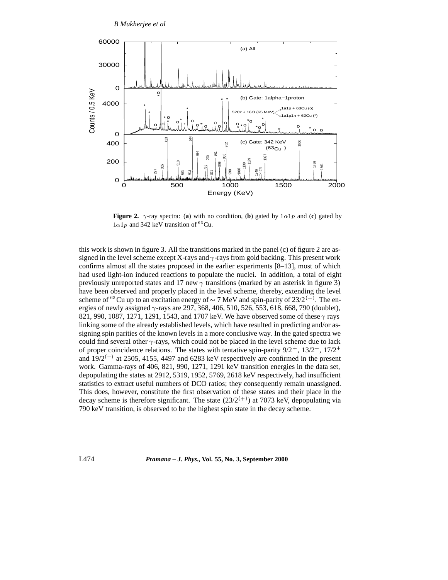

**Figure 2.**  $\gamma$ -ray spectra: (a) with no condition, (b) gated by  $1\alpha1p$  and (c) gated by  $1\alpha1p$  and 342 keV transition of <sup>63</sup>Cu.

this work is shown in figure 3. All the transitions marked in the panel (c) of figure 2 are assigned in the level scheme except X-rays and  $\gamma$ -rays from gold backing. This present work confirms almost all the states proposed in the earlier experiments [8–13], most of which had used light-ion induced reactions to populate the nuclei. In addition, a total of eight previously unreported states and 17 new  $\gamma$  transitions (marked by an asterisk in figure 3) have been observed and properly placed in the level scheme, thereby, extending the level scheme of <sup>63</sup>Cu up to an excitation energy of  $\sim$  7 MeV and spin-parity of 23/2<sup>(+)</sup>. The energies of newly assigned  $\gamma$ -rays are 297, 368, 406, 510, 526, 553, 618, 668, 790 (doublet), 821, 990, 1087, 1271, 1291, 1543, and 1707 keV. We have observed some of these  $\gamma$  rays linking some of the already established levels, which have resulted in predicting and/or assigning spin parities of the known levels in a more conclusive way. In the gated spectra we could find several other  $\gamma$ -rays, which could not be placed in the level scheme due to lack of proper coincidence relations. The states with tentative spin-parity  $9/2^+$ ,  $13/2^+$ ,  $17/2^+$ and  $19/2^{(+)}$  at 2505, 4155, 4497 and 6283 keV respectively are confirmed in the present work. Gamma-rays of 406, 821, 990, 1271, 1291 keV transition energies in the data set, depopulating the states at 2912, 5319, 1952, 5769, 2618 keV respectively, had insufficient statistics to extract useful numbers of DCO ratios; they consequently remain unassigned. This does, however, constitute the first observation of these states and their place in the decay scheme is therefore significant. The state  $(23/2^{(+)})$  at 7073 keV, depopulating via 790 keV transition, is observed to be the highest spin state in the decay scheme.

L474 *Pramana – J. Phys.,* **Vol. 55, No. 3, September 2000**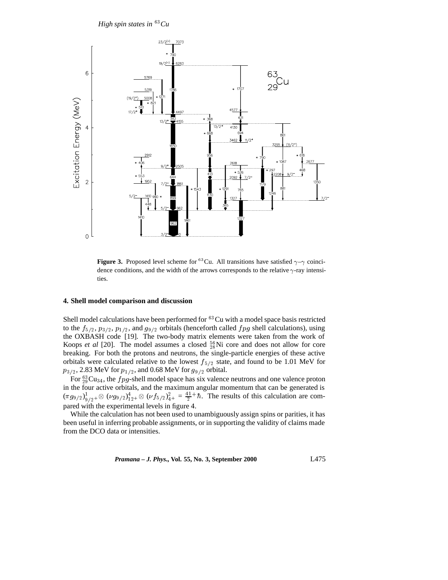*High spin states in* <sup>63</sup>*Cu*



**Figure 3.** Proposed level scheme for <sup>63</sup>Cu. All transitions have satisfied  $\gamma-\gamma$  coincidence conditions, and the width of the arrows corresponds to the relative  $\gamma$ -ray intensities.

# **4. Shell model comparison and discussion**

Shell model calculations have been performed for  ${}^{63}$ Cu with a model space basis restricted to the  $f_{5/2}$ ,  $p_{3/2}$ ,  $p_{1/2}$ , and  $g_{9/2}$  orbitals (henceforth called  $fpg$  shell calculations), using the OXBASH code [19]. The two-body matrix elements were taken from the work of Koops *et al* [20]. The model assumes a closed  $_{28}^{56}$ Ni core and does not allow for core breaking. For both the protons and neutrons, the single-particle energies of these active orbitals were calculated relative to the lowest  $f_{5/2}$  state, and found to be 1.01 MeV for  $p_{3/2}$ , 2.83 MeV for  $p_{1/2}$ , and 0.68 MeV for  $g_{9/2}$  orbital.

For  $_{29}^{63}Cu_{34}$ , the *f pg*-shell model space has six valence neutrons and one valence proton in the four active orbitals, and the maximum angular momentum that can be generated is  $(\pi g_{9/2})^1_{9/2^+} \otimes (\nu g_{9/2})^4_{12^+} \otimes (\nu f_{5/2})^2_{4^+} = \frac{41}{2} + \hbar$ . The results of this calculation are compared with the experimental levels in figure 4.

While the calculation has not been used to unambiguously assign spins or parities, it has been useful in inferring probable assignments, or in supporting the validity of claims made from the DCO data or intensities.

*Pramana – J. Phys.,* **Vol. 55, No. 3, September 2000** L475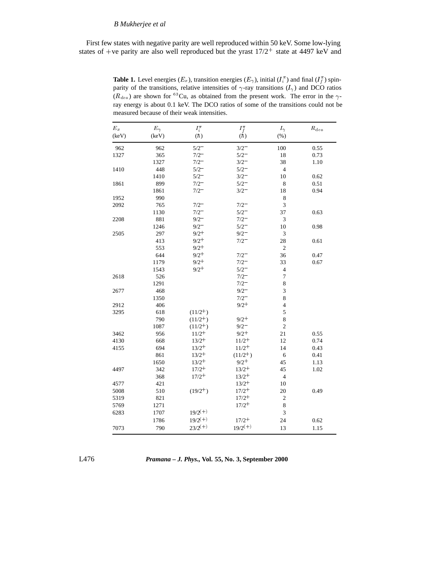# *B Mukherjee et al*

First few states with negative parity are well reproduced within 50 keV. Some low-lying states of +ve parity are also well reproduced but the yrast  $17/2^+$  state at 4497 keV and

**Table 1.** Level energies  $(E_x)$ , transition energies  $(E_\gamma)$ , initial  $(I_i^{\pi})$  and final  $(I_f^{\pi})$  spinparity of the transitions, relative intensities of  $\gamma$ -ray transitions  $(I_{\gamma})$  and DCO ratios  $(R_{\text{dco}})$  are shown for <sup>63</sup>Cu, as obtained from the present work. The error in the  $\gamma$ ray energy is about 0.1 keV. The DCO ratios of some of the transitions could not be measured because of their weak intensities.

| (keV)<br>962 | $E_\gamma$<br>(keV)<br>962 | $I_i^{\pi}$<br>(h) |                             | $I_\gamma$     | $R_{\rm{deo}}$ |
|--------------|----------------------------|--------------------|-----------------------------|----------------|----------------|
|              |                            |                    | $I_f^{\pi} \choose (\hbar)$ | (% )           |                |
|              |                            | $5/2^-$            | $3/2^-$                     | 100            | 0.55           |
| 1327         | 365                        | $7/2^-$            | $5/2^-$                     | 18             | 0.73           |
|              | 1327                       | $7/2^-$            | $3/2^-$                     | 38             | 1.10           |
| 1410         | 448                        | $5/2^{-}$          | $5/2^-$                     | $\overline{4}$ |                |
|              | 1410                       | $5/2^-$            | $3/2^-$                     | 10             | 0.62           |
| 1861         | 899                        | $7/2^-$            | $5/2^-$                     | 8              | 0.51           |
|              | 1861                       | $7/2^-$            | $3/2^-$                     | 18             | 0.94           |
| 1952         | 990                        |                    |                             | 8              |                |
| 2092         | 765                        | $7/2^-$            | $7/2 -$                     | 3              |                |
|              | 1130                       | $7/2^-$            | $5/2^-$                     | 37             | 0.63           |
| 2208         | 881                        | $9/2^-$            | $7/2^-$                     | 3              |                |
|              | 1246                       | $9/2 -$            | $5/2^-$                     | 10             | 0.98           |
| 2505         | 297                        | $9/2^+$            | $9/2 -$                     | $\mathfrak z$  |                |
|              | 413                        | $9/2^+$            | $7/2 -$                     | 28             | 0.61           |
|              | 553                        | $9/2^+$            |                             | $\overline{c}$ |                |
|              | 644                        | $9/2^+$            | $7/2 -$                     | 36             | 0.47           |
|              | 1179                       | $9/2^+$            | $7/2 -$                     | 33             | 0.67           |
|              | 1543                       | $9/2^+$            | $5/2^-$                     | $\overline{4}$ |                |
| 2618         | 526                        |                    | $7/2^-$                     | 7              |                |
|              | 1291                       |                    | $7/2 -$                     | 8              |                |
| 2677         | 468                        |                    | $9/2^-$                     | 3              |                |
|              | 1350                       |                    | $7/2^-$                     | 8              |                |
| 2912         | 406                        |                    | $9/2^+$                     | $\overline{4}$ |                |
| 3295         | 618                        | $(11/2^{+})$       |                             | 5              |                |
|              | 790                        | $(11/2^+)$         | $9/2^+$                     | 8              |                |
|              | 1087                       | $(11/2^{+})$       | $9/2 -$                     | $\overline{c}$ |                |
| 3462         | 956                        | $11/2^{+}$         | $9/2^+$                     | 21             | 0.55           |
| 4130         | 668                        | $13/2^{+}$         | $11/2+$                     | 12             | 0.74           |
| 4155         | 694                        | $13/2^{+}$         | $11/2^+$                    | 14             | 0.43           |
|              | 861                        | $13/2^{+}$         | $(11/2^+)$                  | 6              | 0.41           |
|              | 1650                       | $13/2^{+}$         | $9/2^+$                     | 45             | 1.13           |
| 4497         | 342                        | $17/2^{+}$         | $13/2^+$                    | 45             | 1.02           |
|              | 368                        | $17/2^{+}$         | $13/2^{+}$                  | $\overline{4}$ |                |
| 4577         | 421                        |                    | $13/2^{+}$                  | 10             |                |
| 5008         | 510                        | $(19/2^{+})$       | $17/2^+$                    | 20             | 0.49           |
| 5319         | 821                        |                    | $17/2^{+}$                  | $\sqrt{2}$     |                |
| 5769         | 1271                       |                    | $17/2^{+}$                  | 8              |                |
| 6283         | 1707                       | $19/2^{(+)}$       |                             | 3              |                |
|              | 1786                       | $19/2^{(+)}$       | $17/2+$                     | 24             | 0.62           |
| 7073         | 790                        | $23/2^{(+)}$       | $19/2^{(+)}$                | 13             | 1.15           |

L476 *Pramana – J. Phys.,* **Vol. 55, No. 3, September 2000**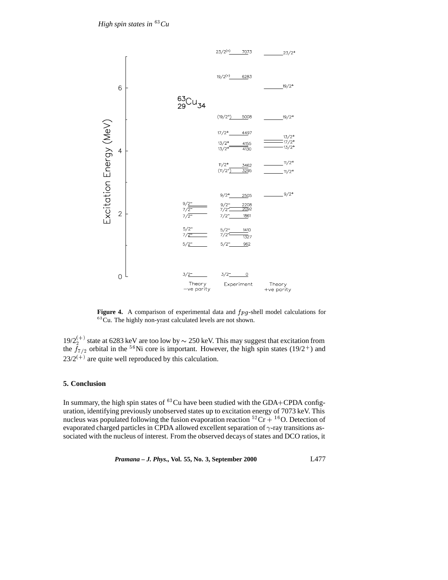

Figure 4. A comparison of experimental data and  $fpg$ -shell model calculations for <sup>63</sup>Cu. The highly non-yrast calculated levels are not shown.

 $19/2^{(+)}$  state at 6283 keV are too low by  $\sim$  250 keV. This may suggest that excitation from the  $f_{7/2}$  orbital in the <sup>56</sup>Ni core is important. However, the high spin states (19/2<sup>+</sup>) and  $23/2^{(+)}$  are quite well reproduced by this calculation.

# **5. Conclusion**

In summary, the high spin states of  ${}^{63}$ Cu have been studied with the GDA+CPDA configuration, identifying previously unobserved states up to excitation energy of 7073 keV. This nucleus was populated following the fusion evaporation reaction  ${}^{52}Cr + {}^{16}O$ . Detection of evaporated charged particles in CPDA allowed excellent separation of  $\gamma$ -ray transitions associated with the nucleus of interest. From the observed decays of states and DCO ratios, it

*Pramana – J. Phys.,* **Vol. 55, No. 3, September 2000** L477